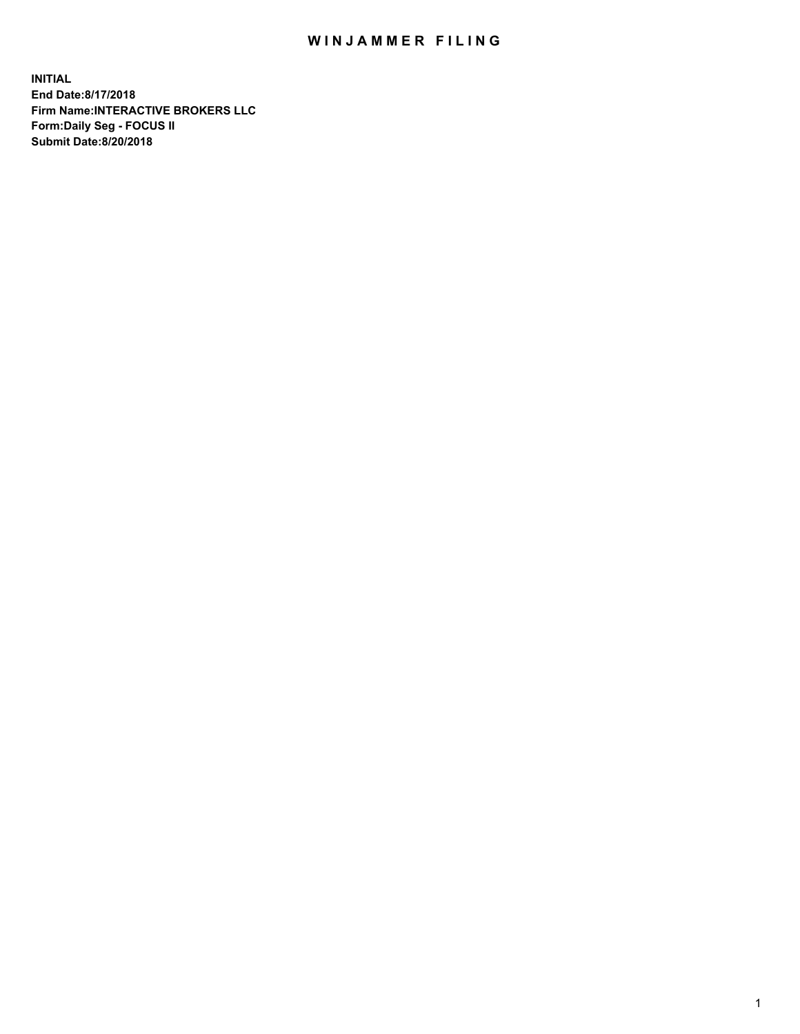## WIN JAMMER FILING

**INITIAL End Date:8/17/2018 Firm Name:INTERACTIVE BROKERS LLC Form:Daily Seg - FOCUS II Submit Date:8/20/2018**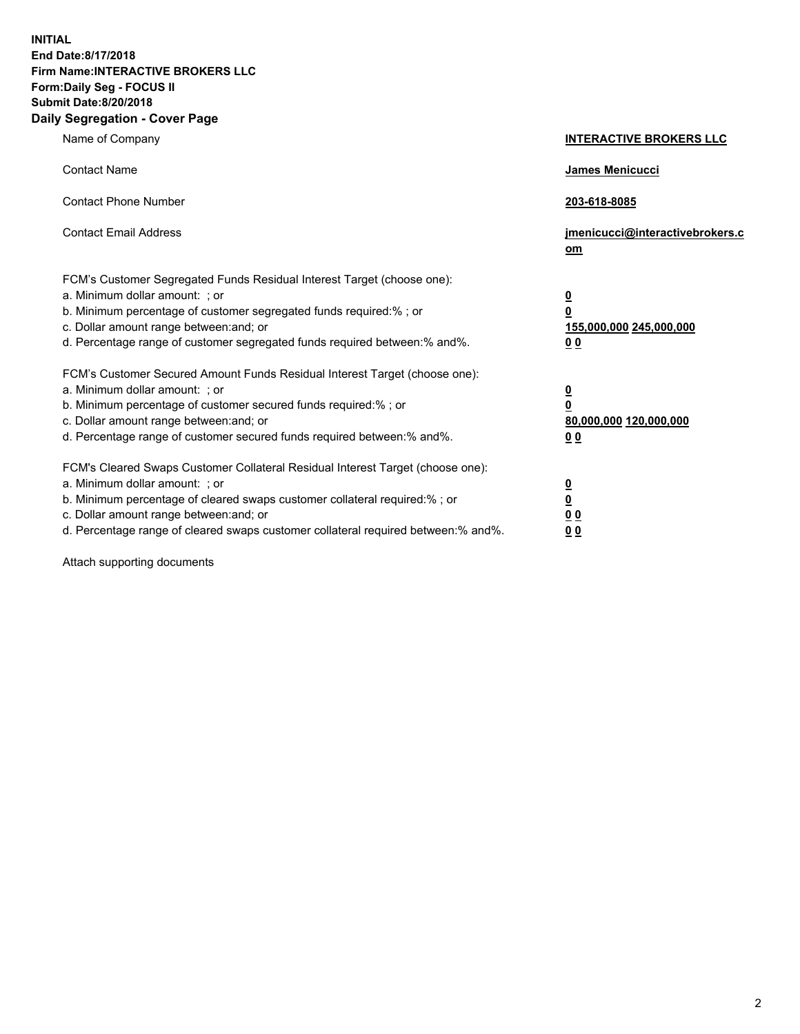**INITIAL End Date:8/17/2018 Firm Name:INTERACTIVE BROKERS LLC Form:Daily Seg - FOCUS II Submit Date:8/20/2018 Daily Segregation - Cover Page**

| Name of Company                                                                                                                                                                                                                                                                                                                | <b>INTERACTIVE BROKERS LLC</b>                                                                  |
|--------------------------------------------------------------------------------------------------------------------------------------------------------------------------------------------------------------------------------------------------------------------------------------------------------------------------------|-------------------------------------------------------------------------------------------------|
| <b>Contact Name</b>                                                                                                                                                                                                                                                                                                            | James Menicucci                                                                                 |
| <b>Contact Phone Number</b>                                                                                                                                                                                                                                                                                                    | 203-618-8085                                                                                    |
| <b>Contact Email Address</b>                                                                                                                                                                                                                                                                                                   | jmenicucci@interactivebrokers.c<br>om                                                           |
| FCM's Customer Segregated Funds Residual Interest Target (choose one):<br>a. Minimum dollar amount: ; or<br>b. Minimum percentage of customer segregated funds required:% ; or<br>c. Dollar amount range between: and; or<br>d. Percentage range of customer segregated funds required between:% and%.                         | $\overline{\mathbf{0}}$<br>$\overline{\mathbf{0}}$<br>155,000,000 245,000,000<br>0 <sub>0</sub> |
| FCM's Customer Secured Amount Funds Residual Interest Target (choose one):<br>a. Minimum dollar amount: ; or<br>b. Minimum percentage of customer secured funds required:% ; or<br>c. Dollar amount range between: and; or<br>d. Percentage range of customer secured funds required between:% and%.                           | $\overline{\mathbf{0}}$<br>0<br>80,000,000 120,000,000<br>0 <sub>0</sub>                        |
| FCM's Cleared Swaps Customer Collateral Residual Interest Target (choose one):<br>a. Minimum dollar amount: ; or<br>b. Minimum percentage of cleared swaps customer collateral required:% ; or<br>c. Dollar amount range between: and; or<br>d. Percentage range of cleared swaps customer collateral required between:% and%. | $\overline{\mathbf{0}}$<br><u>0</u><br>$\underline{0}$ $\underline{0}$<br>00                    |

Attach supporting documents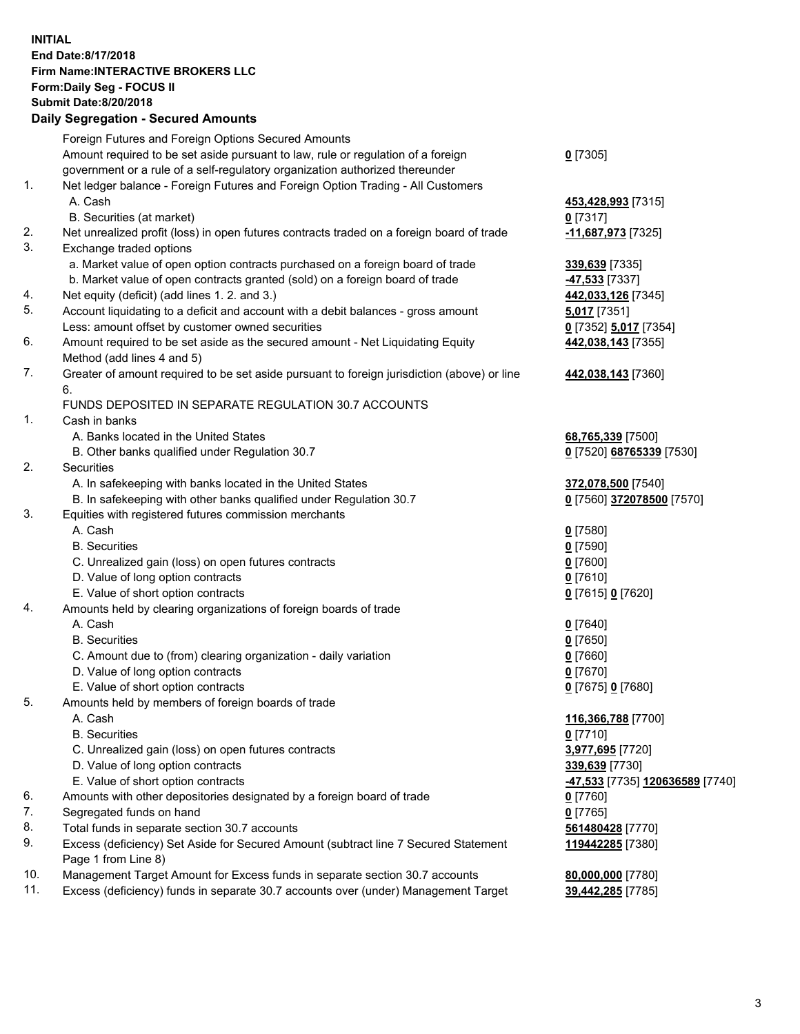## **INITIAL End Date:8/17/2018 Firm Name:INTERACTIVE BROKERS LLC Form:Daily Seg - FOCUS II Submit Date:8/20/2018 Daily Segregation - Secured Amounts**

|     | Daily Jegi egation - Jeculed Alliounts                                                      |                                 |
|-----|---------------------------------------------------------------------------------------------|---------------------------------|
|     | Foreign Futures and Foreign Options Secured Amounts                                         |                                 |
|     | Amount required to be set aside pursuant to law, rule or regulation of a foreign            | $0$ [7305]                      |
|     | government or a rule of a self-regulatory organization authorized thereunder                |                                 |
| 1.  | Net ledger balance - Foreign Futures and Foreign Option Trading - All Customers             |                                 |
|     | A. Cash                                                                                     | 453,428,993 [7315]              |
|     | B. Securities (at market)                                                                   | $0$ [7317]                      |
| 2.  | Net unrealized profit (loss) in open futures contracts traded on a foreign board of trade   | -11,687,973 [7325]              |
| 3.  | Exchange traded options                                                                     |                                 |
|     | a. Market value of open option contracts purchased on a foreign board of trade              | 339,639 [7335]                  |
|     | b. Market value of open contracts granted (sold) on a foreign board of trade                | 47,533 [7337]                   |
| 4.  | Net equity (deficit) (add lines 1.2. and 3.)                                                | 442,033,126 [7345]              |
| 5.  | Account liquidating to a deficit and account with a debit balances - gross amount           | 5,017 [7351]                    |
|     | Less: amount offset by customer owned securities                                            | 0 [7352] 5,017 [7354]           |
| 6.  | Amount required to be set aside as the secured amount - Net Liquidating Equity              | 442,038,143 [7355]              |
|     | Method (add lines 4 and 5)                                                                  |                                 |
| 7.  | Greater of amount required to be set aside pursuant to foreign jurisdiction (above) or line | 442,038,143 [7360]              |
|     | 6.                                                                                          |                                 |
|     | FUNDS DEPOSITED IN SEPARATE REGULATION 30.7 ACCOUNTS                                        |                                 |
| 1.  | Cash in banks                                                                               |                                 |
|     | A. Banks located in the United States                                                       | 68,765,339 [7500]               |
|     | B. Other banks qualified under Regulation 30.7                                              | 0 [7520] 68765339 [7530]        |
| 2.  | Securities                                                                                  |                                 |
|     | A. In safekeeping with banks located in the United States                                   | 372,078,500 [7540]              |
|     | B. In safekeeping with other banks qualified under Regulation 30.7                          | 0 [7560] 372078500 [7570]       |
| 3.  | Equities with registered futures commission merchants                                       |                                 |
|     | A. Cash                                                                                     | $0$ [7580]                      |
|     | <b>B.</b> Securities                                                                        | $0$ [7590]                      |
|     | C. Unrealized gain (loss) on open futures contracts                                         | $0$ [7600]                      |
|     | D. Value of long option contracts                                                           | $0$ [7610]                      |
|     | E. Value of short option contracts                                                          | 0 [7615] 0 [7620]               |
| 4.  | Amounts held by clearing organizations of foreign boards of trade                           |                                 |
|     | A. Cash                                                                                     | $0$ [7640]                      |
|     | <b>B.</b> Securities                                                                        | $0$ [7650]                      |
|     | C. Amount due to (from) clearing organization - daily variation                             | $0$ [7660]                      |
|     | D. Value of long option contracts                                                           | $0$ [7670]                      |
|     | E. Value of short option contracts                                                          | 0 [7675] 0 [7680]               |
| 5.  | Amounts held by members of foreign boards of trade                                          |                                 |
|     | A. Cash                                                                                     | 116,366,788 [7700]              |
|     | <b>B.</b> Securities                                                                        | $0$ [7710]                      |
|     | C. Unrealized gain (loss) on open futures contracts                                         | 3,977,695 [7720]                |
|     | D. Value of long option contracts                                                           | 339,639 [7730]                  |
|     | E. Value of short option contracts                                                          | -47,533 [7735] 120636589 [7740] |
| 6.  | Amounts with other depositories designated by a foreign board of trade                      | 0 [7760]                        |
| 7.  | Segregated funds on hand                                                                    | $0$ [7765]                      |
| 8.  | Total funds in separate section 30.7 accounts                                               | 561480428 [7770]                |
| 9.  | Excess (deficiency) Set Aside for Secured Amount (subtract line 7 Secured Statement         | 119442285 [7380]                |
|     | Page 1 from Line 8)                                                                         |                                 |
| 10. | Management Target Amount for Excess funds in separate section 30.7 accounts                 | 80,000,000 [7780]               |
| 11. | Excess (deficiency) funds in separate 30.7 accounts over (under) Management Target          | 39,442,285 [7785]               |
|     |                                                                                             |                                 |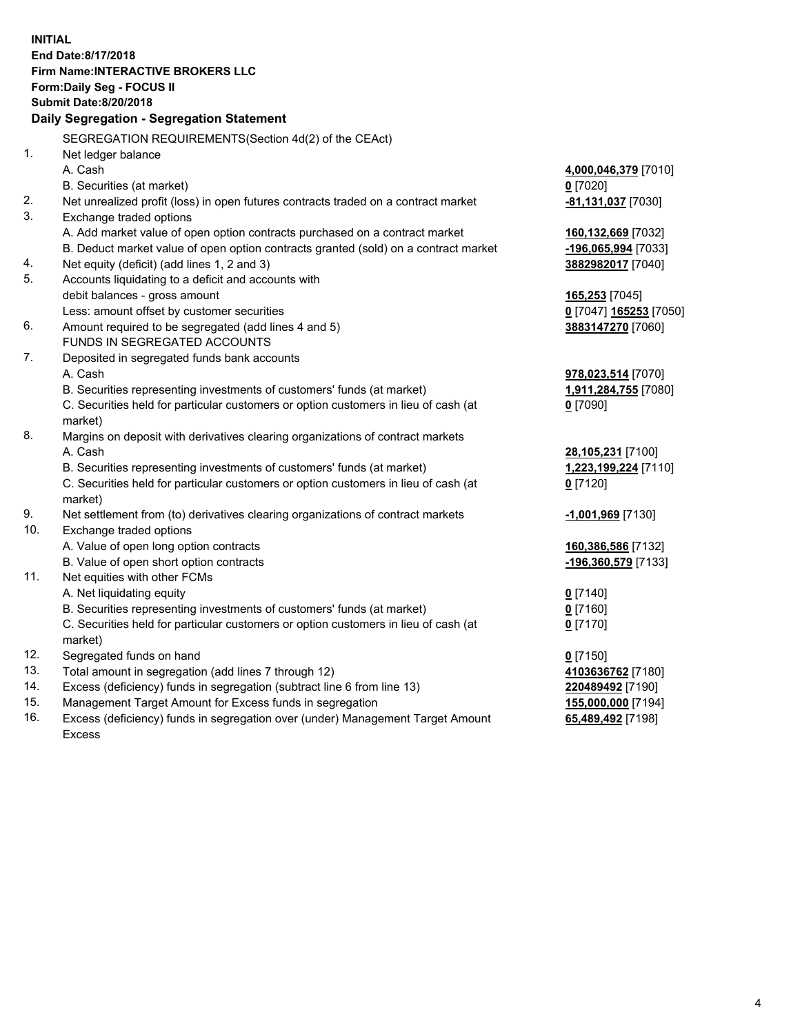**INITIAL End Date:8/17/2018 Firm Name:INTERACTIVE BROKERS LLC Form:Daily Seg - FOCUS II Submit Date:8/20/2018 Daily Segregation - Segregation Statement** SEGREGATION REQUIREMENTS(Section 4d(2) of the CEAct) 1. Net ledger balance A. Cash **4,000,046,379** [7010] B. Securities (at market) **0** [7020] 2. Net unrealized profit (loss) in open futures contracts traded on a contract market **-81,131,037** [7030] 3. Exchange traded options A. Add market value of open option contracts purchased on a contract market **160,132,669** [7032] B. Deduct market value of open option contracts granted (sold) on a contract market **-196,065,994** [7033] 4. Net equity (deficit) (add lines 1, 2 and 3) **3882982017** [7040] 5. Accounts liquidating to a deficit and accounts with debit balances - gross amount **165,253** [7045] Less: amount offset by customer securities **0** [7047] **165253** [7050] 6. Amount required to be segregated (add lines 4 and 5) **3883147270** [7060] FUNDS IN SEGREGATED ACCOUNTS 7. Deposited in segregated funds bank accounts A. Cash **978,023,514** [7070] B. Securities representing investments of customers' funds (at market) **1,911,284,755** [7080] C. Securities held for particular customers or option customers in lieu of cash (at market) **0** [7090] 8. Margins on deposit with derivatives clearing organizations of contract markets A. Cash **28,105,231** [7100] B. Securities representing investments of customers' funds (at market) **1,223,199,224** [7110] C. Securities held for particular customers or option customers in lieu of cash (at market) **0** [7120] 9. Net settlement from (to) derivatives clearing organizations of contract markets **-1,001,969** [7130] 10. Exchange traded options A. Value of open long option contracts **160,386,586** [7132] B. Value of open short option contracts **-196,360,579** [7133] 11. Net equities with other FCMs A. Net liquidating equity **0** [7140] B. Securities representing investments of customers' funds (at market) **0** [7160] C. Securities held for particular customers or option customers in lieu of cash (at market) **0** [7170] 12. Segregated funds on hand **0** [7150] 13. Total amount in segregation (add lines 7 through 12) **4103636762** [7180] 14. Excess (deficiency) funds in segregation (subtract line 6 from line 13) **220489492** [7190] 15. Management Target Amount for Excess funds in segregation **155,000,000** [7194] 16. Excess (deficiency) funds in segregation over (under) Management Target Amount **65,489,492** [7198]

Excess